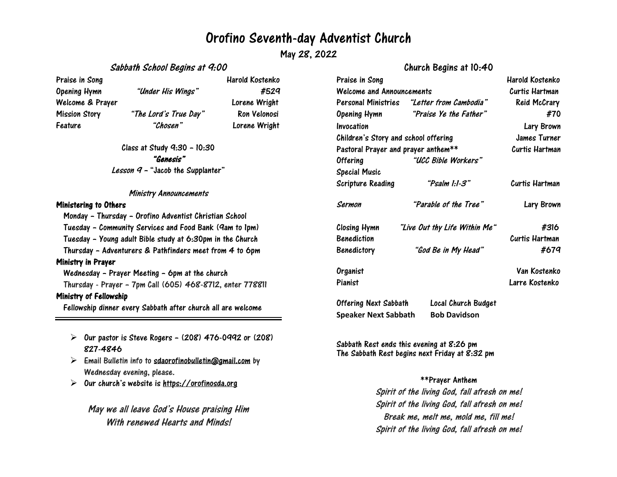## Orofino Seventh-day Adventist Church

May 28, 2022

#### Sabbath School Begins at 9:00

Feature "Chosen" Lorene Wright

Praise in Song New York 1988 and Harold Kostenko Opening Hymn "Under His Wings" #529 Welcome & Prayer Lorene Wright Mission Story "The Lord's True Day" Ron Velonosi

Class at Study 9:30 – 10:30 "Genesis" Lesson  $q$  - "Jacob the Supplanter"

#### Ministry Announcements

#### Ministering to Others

Monday – Thursday – Orofino Adventist Christian School Tuesday – Community Services and Food Bank (9am to 1pm) Tuesday – Young adult Bible study at 6:30pm in the Church Thursday – Adventurers & Pathfinders meet from 4 to 6pm Ministry in Prayer Wednesday – Prayer Meeting – 6pm at the church Thursday - Prayer – 7pm Call (605) 468-8712, enter 778811

#### Ministry of Fellowship

Fellowship dinner every Sabbath after church all are welcome

- $\triangleright$  Our pastor is Steve Rogers (208) 476-0992 or (208) 827-4846
- $\triangleright$  Email Bulletin info to [sdaorofinobulletin@gmail.com](mailto:sdaorofinobulletin@gmail.com) by Wednesday evening, please.
- $\triangleright$ Our church's website is [https://orofinosda.org](https://orofinosda.org/)

May we all leave God's House praising Him With renewed Hearts and Minds!

## Church Begins at 10:40

| Praise in Song                       |                                                    | Harold Kostenko |
|--------------------------------------|----------------------------------------------------|-----------------|
| Welcome and Announcements            |                                                    | Curtis Hartman  |
|                                      | Personal Ministries "L <i>etter from Cambodia"</i> | Reid McCrary    |
|                                      | Opening Hymn "Praise Ye the Father"                | #70             |
| Invocation                           |                                                    | Lary Brown      |
| Children's Story and school offering |                                                    | James Turner    |
| Pastoral Prayer and prayer anthem**  |                                                    | Curtis Hartman  |
| Offering                             | "UCC Bible Workers"                                |                 |
| Special Music                        |                                                    |                 |
| Scripture Reading                    | "Psalm 1:1-3"                                      | Curtis Hartman  |
| Sermon                               | "Parable of the Tree"                              | Lary Brown      |
| Closing Hymn                         | "Live Out thy Life Within Me"                      | #316            |
| Benediction                          |                                                    | Curtis Hartman  |
| Benedictory                          | "God Be in My Head"                                | #679            |
| Organist                             |                                                    | Van Kostenko    |
| Pianist                              |                                                    | Larre Kostenko  |
| Offering Next Sabbath                | Local Church Budget                                |                 |

Sabbath Rest ends this evening at 8:26 pm The Sabbath Rest begins next Friday at 8:32 pm

**Speaker Next Sabbath Bob Davidson**

### \*\*Prayer Anthem

Spirit of the living God, fall afresh on me! Spirit of the living God, fall afresh on me! Break me, melt me, mold me, fill me! Spirit of the living God, fall afresh on me!